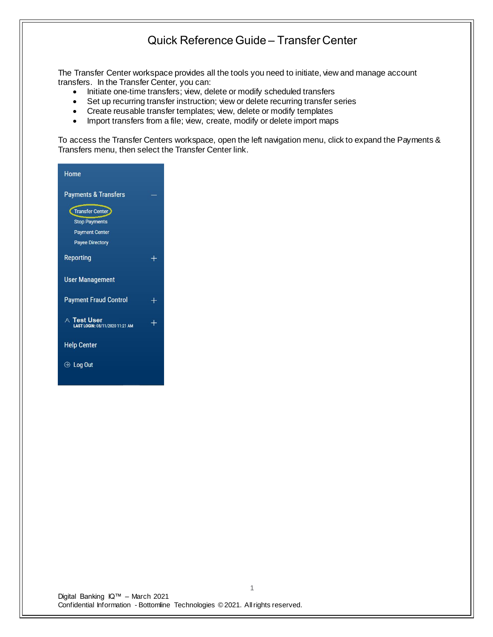The Transfer Center workspace provides all the tools you need to initiate, view and manage account transfers. In the Transfer Center, you can:

- Initiate one-time transfers; view, delete or modify scheduled transfers
- Set up recurring transfer instruction; view or delete recurring transfer series
- Create reusable transfer templates; view, delete or modify templates
- Import transfers from a file; view, create, modify or delete import maps

To access the Transfer Centers workspace, open the left navigation menu, click to expand the Payments & Transfers menu, then select the Transfer Center link.

| Home                                           |        |
|------------------------------------------------|--------|
| <b>Payments &amp; Transfers</b>                |        |
| Transfer Center                                |        |
| <b>Stop Payments</b>                           |        |
| <b>Payment Center</b>                          |        |
| <b>Payee Directory</b>                         |        |
| Reporting                                      |        |
| <b>User Management</b>                         |        |
| <b>Payment Fraud Control</b>                   | $^{+}$ |
| A Test User<br>LAST LOGIN: 08/11/2020 11:21 AM | $^{+}$ |
| <b>Help Center</b>                             |        |
| ⊙ Log Out                                      |        |
|                                                |        |

Digital Banking IQ™ – March 2021 Confidential Information - Bottomline Technologies © 2021. Allrights reserved.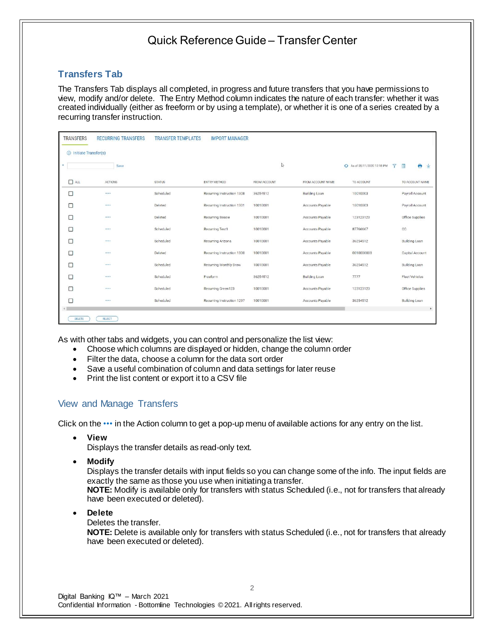### **Transfers Tab**

The Transfers Tab displays all completed, in progress and future transfers that you have permissions to view, modify and/or delete. The Entry Method column indicates the nature of each transfer: whether it was created individually (either as freeform or by using a template), or whether it is one of a series created by a recurring transfer instruction.

| <b>TRANSFERS</b>              | <b>RECURRING TRANSFERS</b> | <b>TRANSFER TEMPLATES</b> | <b>IMPORT MANAGER</b>      |              |                      |                                  |                       |
|-------------------------------|----------------------------|---------------------------|----------------------------|--------------|----------------------|----------------------------------|-----------------------|
| $\oplus$ Initiate Transfer(s) |                            |                           |                            |              |                      |                                  |                       |
| ٠                             | Save                       |                           |                            | $\mathbb{Q}$ |                      | + As of 08/11/2020 12:18 PM<br>Y | e<br>业<br><b>TILL</b> |
| ALL                           | ACTIONS                    | <b>STATUS</b>             | ENTRY METHOD               | FROM ACCOUNT | FROM ACCOUNT NAME    | TO ACCOUNT                       | TO ACCOUNT NAME       |
| □                             |                            | Scheduled                 | Recurring Instruction 1308 | 36254512     | <b>Building Loan</b> | 10010003                         | Payroll Account       |
| г                             |                            | Deleted                   | Recurring Instruction 1301 | 10010001     | Accounts Payable     | 10010003                         | Payroll Account       |
| П                             |                            | Deleted                   | <b>Recurring Bessie</b>    | 10010001     | Accounts Payable     | 123123123                        | Office Supplies       |
| г                             |                            | Scheduled                 | <b>Recurring Test1</b>     | 10010001     | Accounts Payable     | 87766667                         | cc                    |
| г                             | 1.1.1                      | Scheduled                 | Recurring Arizona          | 10010001     | Accounts Payable     | 36254512                         | <b>Building Loan</b>  |
|                               |                            | Deleted                   | Recurring Instruction 1300 | 10010001     | Accounts Payable     | 0010000003                       | Capital Account       |
|                               |                            | Scheduled                 | Recurring Monthly Draw     | 10010001     | Accounts Payable     | 36254512                         | <b>Building Loan</b>  |
| п                             |                            | Scheduled                 | Freeform                   | 36254512     | <b>Building Loan</b> | 7777                             | <b>Fleet Vehicles</b> |
| г                             |                            | Scheduled                 | Recurring Green123         | 10010001     | Accounts Payable     | 123123123                        | Office Supplies       |
| □                             |                            | Scheduled                 | Recurring Instruction 1297 | 10010001     | Accounts Payable     | 36254512                         | <b>Building Loan</b>  |
| DELETE                        | REJECT                     |                           |                            |              |                      |                                  | $\mathbf{F}$          |

As with other tabs and widgets, you can control and personalize the list view:

- Choose which columns are displayed or hidden, change the column order
- Filter the data, choose a column for the data sort order
- Save a useful combination of column and data settings for later reuse
- Print the list content or export it to a CSV file

### View and Manage Transfers

Click on the ••• in the Action column to get a pop-up menu of available actions for any entry on the list.

• **View**

Displays the transfer details as read-only text.

• **Modify**

Displays the transfer details with input fields so you can change some of the info. The input fields are exactly the same as those you use when initiating a transfer. **NOTE:** Modify is available only for transfers with status Scheduled (i.e., not for transfers that already

• **Delete**

Deletes the transfer.

have been executed or deleted).

**NOTE:** Delete is available only for transfers with status Scheduled (i.e., not for transfers that already have been executed or deleted).

2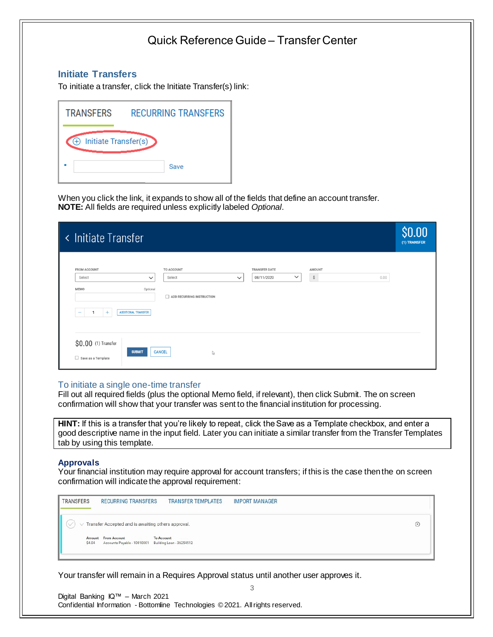### **Initiate Transfers**

To initiate a transfer, click the Initiate Transfer(s) link:

| <b>TRANSFERS</b>                 | <b>RECURRING TRANSFERS</b> |  |  |  |
|----------------------------------|----------------------------|--|--|--|
| $\bigoplus$ Initiate Transfer(s) |                            |  |  |  |
|                                  | Save                       |  |  |  |

When you click the link, it expands to show all of the fields that define an account transfer. **NOTE:** All fields are required unless explicitly labeled *Optional*.

| <b>Initiate Transfer</b><br>$\prec$                                                                    |                                                                   |                                                    |                                       | \$0.00<br>(1) TRANSFER |
|--------------------------------------------------------------------------------------------------------|-------------------------------------------------------------------|----------------------------------------------------|---------------------------------------|------------------------|
| <b>FROM ACCOUNT</b><br>Select<br>$\checkmark$<br>MEMO<br>Optional<br><b>ADDITIONAL TRANSFER</b><br>$+$ | TO ACCOUNT<br>Select<br>$\checkmark$<br>ADD RECURRING INSTRUCTION | <b>TRANSFER DATE</b><br>$\checkmark$<br>08/11/2020 | <b>AMOUNT</b><br>$\mathbb{S}$<br>0.00 |                        |
| $$0.00$ (1) Transfer<br><b>SUBMIT</b><br>$\Box$ Save as a Template                                     | <b>CANCEL</b><br>$\mathbb{Q}$                                     |                                                    |                                       |                        |

### To initiate a single one-time transfer

Fill out all required fields (plus the optional Memo field, if relevant), then click Submit. The on screen confirmation will show that your transfer was sent to the financial institution for processing.

**HINT:** If this is a transfer that you're likely to repeat, click the Save as a Template checkbox, and enter a good descriptive name in the input field. Later you can initiate a similar transfer from the Transfer Templates tab by using this template.

#### **Approvals**

Your financial institution may require approval for account transfers; if this is the case then the on screen confirmation will indicate the approval requirement:

3

 $\circledR$ 



Your transfer will remain in a Requires Approval status until another user approves it.

Digital Banking IQ™ – March 2021 Confidential Information - Bottomline Technologies © 2021. Allrights reserved.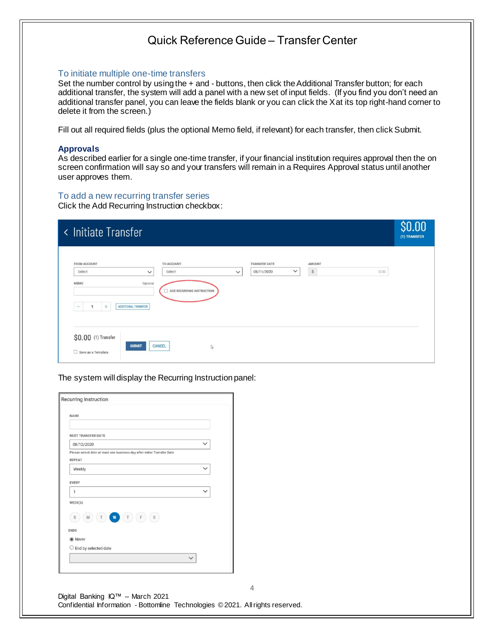#### To initiate multiple one-time transfers

Set the number control by using the + and - buttons, then click the Additional Transfer button; for each additional transfer, the system will add a panel with a new set of input fields. (If you find you don't need an additional transfer panel, you can leave the fields blank or you can click the X at its top right-hand corner to delete it from the screen.)

Fill out all required fields (plus the optional Memo field, if relevant) for each transfer, then click Submit.

#### **Approvals**

As described earlier for a single one-time transfer, if your financial institution requires approval then the on screen confirmation will say so and your transfers will remain in a Requires Approval status until another user approves them.

### To add a new recurring transfer series

Click the Add Recurring Instruction checkbox:

| < Initiate Transfer                                                                                                                                                                                                                                                            | \$0.00<br>(1) TRANSFER |
|--------------------------------------------------------------------------------------------------------------------------------------------------------------------------------------------------------------------------------------------------------------------------------|------------------------|
| <b>FROM ACCOUNT</b><br>TO ACCOUNT<br><b>TRANSFER DATE</b><br><b>AMOUNT</b><br>$\mathbb{S}$<br>$\check{~}$<br>08/11/2020<br>0.00<br>Select<br>Select<br>$\check{~}$<br>$\checkmark$<br>Optional<br><b>MEMO</b><br>ADD RECURRING INSTRUCTION<br>ADDITIONAL TRANSFER<br>$\ddot{}$ |                        |
| \$0.00 (1) Transfer<br><b>SUBMIT</b><br><b>CANCEL</b><br>$\mathbb{Q}$<br>$\Box$ Save as a Template                                                                                                                                                                             |                        |

The system will display the Recurring Instruction panel:

| <b>NAME</b>                                                                               |              |
|-------------------------------------------------------------------------------------------|--------------|
| <b>NEXT TRANSFER DATE</b>                                                                 |              |
| 08/12/2020                                                                                | $\checkmark$ |
| Please select date at least one business day after initial Transfer Date<br><b>REPEAT</b> |              |
| Weekly                                                                                    | $\checkmark$ |
| <b>EVERY</b>                                                                              |              |
| 1                                                                                         | $\check{ }$  |
| WEEK(S)                                                                                   |              |
| W<br>$\,$ F $\,$<br>$\mathbb{S}$<br>M<br>T<br>T<br>S                                      |              |
| <b>ENDS</b>                                                                               |              |
| ◉ Never                                                                                   |              |
| $\bigcirc$ End by selected date                                                           |              |
|                                                                                           | $\checkmark$ |

Digital Banking IQ™ – March 2021 Confidential Information - Bottomline Technologies © 2021. Allrights reserved.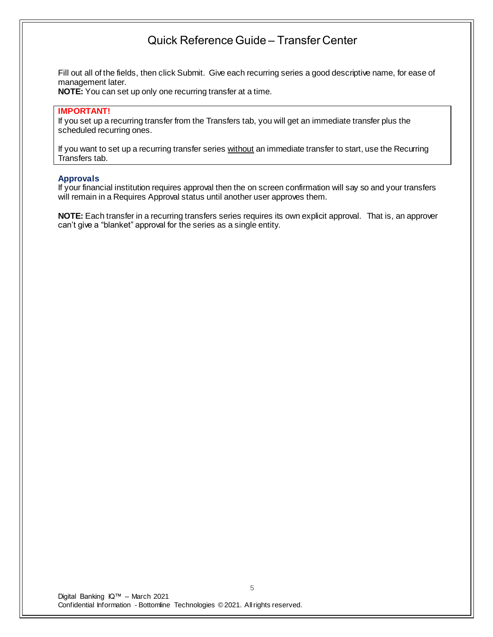Fill out all of the fields, then click Submit. Give each recurring series a good descriptive name, for ease of management later.

**NOTE:** You can set up only one recurring transfer at a time.

#### **IMPORTANT!**

If you set up a recurring transfer from the Transfers tab, you will get an immediate transfer plus the scheduled recurring ones.

If you want to set up a recurring transfer series without an immediate transfer to start, use the Recurring Transfers tab.

#### **Approvals**

If your financial institution requires approval then the on screen confirmation will say so and your transfers will remain in a Requires Approval status until another user approves them.

**NOTE:** Each transfer in a recurring transfers series requires its own explicit approval. That is, an approver can't give a "blanket" approval for the series as a single entity.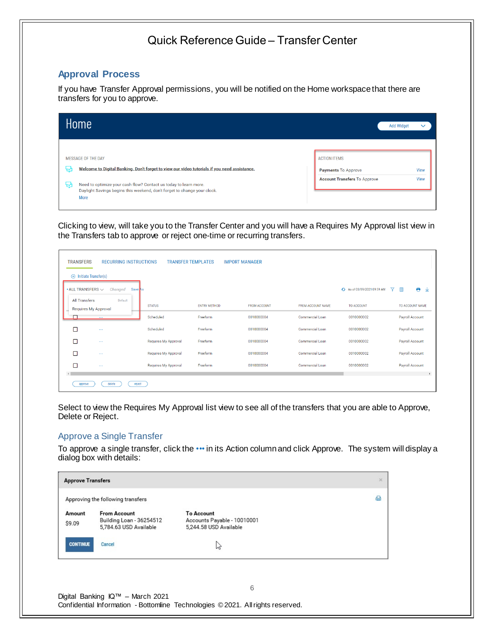### **Approval Process**

If you have Transfer Approval permissions, you will be notified on the Home workspace that there are transfers for you to approve.

| Home                                                                                                                                                                                                                                                                                        | <b>Add Widget</b>                                                                                                      | $\checkmark$ |
|---------------------------------------------------------------------------------------------------------------------------------------------------------------------------------------------------------------------------------------------------------------------------------------------|------------------------------------------------------------------------------------------------------------------------|--------------|
| <b>MESSAGE OF THE DAY</b><br>Welcome to Digital Banking. Don't forget to view our video tutorials if you need assistance.<br>₩<br>Need to optimize your cash flow? Contact us today to learn more.<br>낛<br>Daylight Savings begins this weekend, don't forget to change your clock.<br>More | <b>ACTION ITEMS</b><br><b>View</b><br><b>Payments To Approve</b><br><b>View</b><br><b>Account Transfers To Approve</b> |              |

Clicking to view, will take you to the Transfer Center and you will have a Requires My Approval list view in the Transfers tab to approve or reject one-time or recurring transfers.

|                                                                        | <b>TRANSFERS</b><br><b>TRANSFER TEMPLATES</b><br><b>RECURRING INSTRUCTIONS</b><br><b>IMPORT MANAGER</b> |                      |                     |                     |                          |                                  |                        |  |  |  |
|------------------------------------------------------------------------|---------------------------------------------------------------------------------------------------------|----------------------|---------------------|---------------------|--------------------------|----------------------------------|------------------------|--|--|--|
| $\oplus$ Initiate Transfer(s)<br>$\bullet$ ALL TRANSFERS $\smallsmile$ | Changed<br>Save As                                                                                      |                      |                     |                     |                          | 7<br>+ As of 03/09/2021 09:59 AM | e<br>$\mathbb{I}$<br>V |  |  |  |
| <b>All Transfers</b>                                                   | Default<br><b>Requires My Approval</b>                                                                  | <b>STATUS</b>        | <b>ENTRY METHOD</b> | <b>FROM ACCOUNT</b> | <b>FROM ACCOUNT NAME</b> | TO ACCOUNT                       | TO ACCOUNT NAME        |  |  |  |
|                                                                        | $\sim 100$                                                                                              | Scheduled            | Freeform            | 0010000004          | Commercial Loan          | 0010000002                       | Payroll Account        |  |  |  |
| □                                                                      | $\cdots$                                                                                                | Scheduled            | Freeform            | 0010000004          | <b>Commercial Loan</b>   | 0010000002                       | Payroll Account        |  |  |  |
| г                                                                      | $\cdots$                                                                                                | Requires My Approval | Freeform            | 0010000004          | Commercial Loan          | 0010000002                       | Payroll Account        |  |  |  |
| П                                                                      | $\sim$ $\sim$                                                                                           | Requires My Approval | Freeform            | 0010000004          | <b>Commercial Loan</b>   | 0010000002                       | Payroll Account        |  |  |  |
| ⊓                                                                      | $\sim$ $\sim$                                                                                           | Requires My Approval | Freeform            | 0010000004          | <b>Commercial Loan</b>   | 0010000002                       | Payroll Account        |  |  |  |
|                                                                        |                                                                                                         |                      |                     |                     |                          |                                  | $\mathbb F$            |  |  |  |
| approve                                                                | delete<br>reject                                                                                        |                      |                     |                     |                          |                                  |                        |  |  |  |

Select to view the Requires My Approval list view to see all of the transfers that you are able to Approve, Delete or Reject.

#### Approve a Single Transfer

To approve a single transfer, click the ••• in its Action column and click Approve. The system will display a dialog box with details:

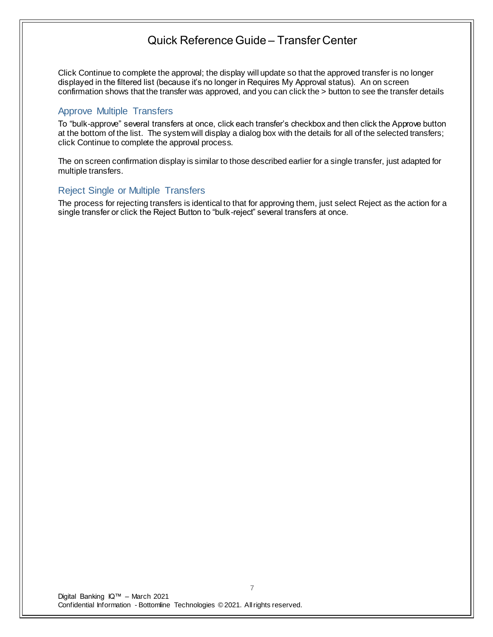Click Continue to complete the approval; the display will update so that the approved transfer is no longer displayed in the filtered list (because it's no longer in Requires My Approval status). An on screen confirmation shows that the transfer was approved, and you can click the > button to see the transfer details

### Approve Multiple Transfers

To "bulk-approve" several transfers at once, click each transfer's checkbox and then click the Approve button at the bottom of the list. The system will display a dialog box with the details for all of the selected transfers; click Continue to complete the approval process.

The on screen confirmation display is similar to those described earlier for a single transfer, just adapted for multiple transfers.

### Reject Single or Multiple Transfers

The process for rejecting transfers is identical to that for approving them, just select Reject as the action for a single transfer or click the Reject Button to "bulk-reject" several transfers at once.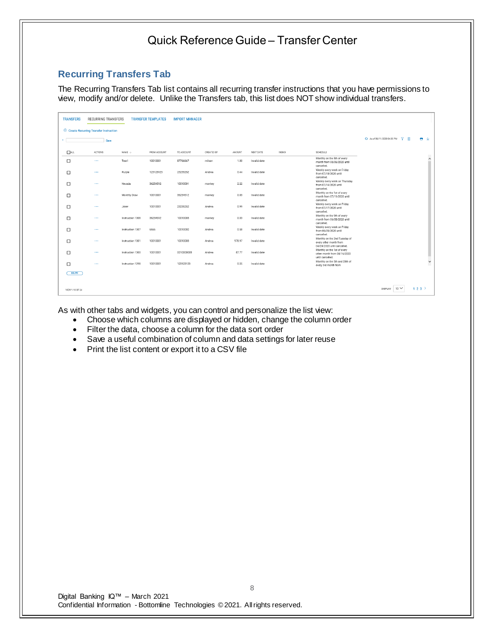### **Recurring Transfers Tab**

The Recurring Transfers Tab list contains all recurring transfer instructions that you have permissions to view, modify and/or delete. Unlike the Transfers tab, this list does NOT show individual transfers.

| <b>TRANSFERS</b> | <b>RECURRING TRANSFERS</b>                     |                   | <b>TRANSFER TEMPLATES</b> | <b>IMPORT MANAGER</b> |            |        |              |      |                                                                                           |                           |                      |     |              |
|------------------|------------------------------------------------|-------------------|---------------------------|-----------------------|------------|--------|--------------|------|-------------------------------------------------------------------------------------------|---------------------------|----------------------|-----|--------------|
|                  | $\oplus$ Create Recurring Transfer Instruction |                   |                           |                       |            |        |              |      |                                                                                           |                           |                      |     |              |
|                  | Save                                           |                   |                           |                       |            |        |              |      |                                                                                           | As of 08/11/2020 04:35 PM | 7.<br>$\blacksquare$ | ● 业 |              |
| $R$ ALL          | ACTIONS                                        | NAME $\downarrow$ | FROM ACCOUNT              | TO ACCOUNT            | CREATED BY | AMOUNT | NEXT DATE    | MEMO | SCHEDULE                                                                                  |                           |                      |     |              |
| $\Box$           | $\cdots$                                       | Test1             | 10010001                  | 87766667              | milson     | 1.00   | Invalid date |      | Monthly on the 5th of every<br>month from 08/06/2020 until<br>cancelled.                  |                           |                      |     | $\hat{}$     |
| □                | $\cdots$                                       | Purple            | 123123123                 | 23235252              | Andrea     | 0.44   | Invalid date |      | Weekly every week on Friday<br>from 07/10/2020 until                                      |                           |                      |     |              |
| □                | $\cdots$                                       | Nevada            | 36254512                  | 10010001              | monkey     | 2.22   | Invalid date |      | cancelled.<br>Weekly every week on Thursday<br>from 07/14/2020 until                      |                           |                      |     |              |
| □                | $\sim$ $\sim$                                  | Monthly Draw      | 10010001                  | 36254512              | monkey     | 0.03   | Invalid date |      | cancelled.<br>Monthly on the 1st of every<br>month from 07/11/2020 until                  |                           |                      |     |              |
| □                | $\sim$ $\sim$ $\sim$                           | Joker             | 10010001                  | 23235252              | Andrea     | 0.99   | Invalid date |      | cancelled.<br>Weekly every week on Friday<br>from 07/17/2020 until                        |                           |                      |     |              |
| □                | $\cdots$                                       | Instruction 1308  | 36254512                  | 10010003              | monkey     | 0.33   | Invalid date |      | cancelled.<br>Monthly on the 9th of every<br>month from 06/08/2020 until                  |                           |                      |     |              |
| □                | $\cdots$                                       | Instruction 1307  | 6666                      | 10010002              | Andrea     | 0.58   | Invalid date |      | cancelled.<br>Weekly every week on Friday<br>from 06/05/2020 until                        |                           |                      |     |              |
| □                | $\cdots$                                       | Instruction 1301  | 10010001                  | 10010003              | Andrea     | 978.97 | Invalid date |      | cancelled.<br>Monthly on the 2nd Tuesday of<br>every other month from                     |                           |                      |     |              |
| □                | $\cdots$                                       | Instruction 1300  | 10010001                  | 0010000003            | Andrea     | 87.77  | Invalid date |      | 04/24/2020 until cancelled.<br>Monthly on the 1st of every<br>other month from 04/16/2020 |                           |                      |     |              |
| $\Box$           | 1.11                                           | Instruction 1298  | 10010001                  | 123123123             | Andrea     | 0.25   | Invalid date |      | until cancelled.<br>Monthly on the 5th and 20th of<br>every 3rd month from                |                           |                      |     | $\checkmark$ |
| DELETE           |                                                |                   |                           |                       |            |        |              |      |                                                                                           |                           |                      |     |              |
|                  |                                                |                   |                           |                       |            |        |              |      |                                                                                           |                           |                      |     |              |
| VIEW 1-10 OF 24  |                                                |                   |                           |                       |            |        |              |      |                                                                                           | DISPLAY   10 V            |                      | 123 |              |

As with other tabs and widgets, you can control and personalize the list view:

- Choose which columns are displayed or hidden, change the column order
- Filter the data, choose a column for the data sort order
- Save a useful combination of column and data settings for later reuse
- Print the list content or export it to a CSV file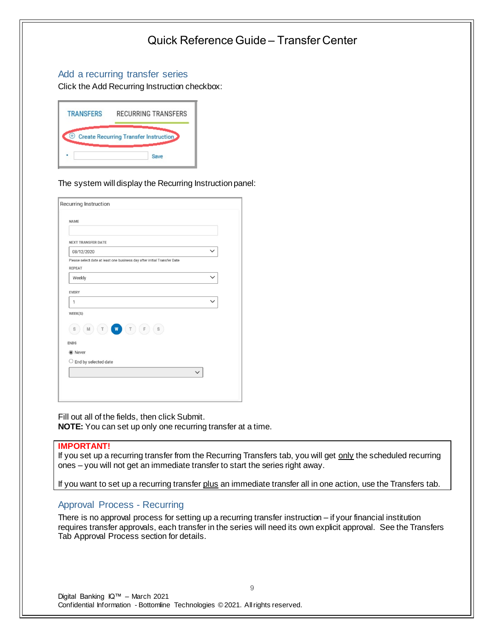### Add a recurring transfer series

Click the Add Recurring Instruction checkbox:

| <b>TRANSFERS</b> | <b>RECURRING TRANSFERS</b>                   |
|------------------|----------------------------------------------|
|                  | <b>Create Recurring Transfer Instruction</b> |
|                  | Save                                         |

The system will display the Recurring Instruction panel:

| Recurring Instruction                                                                     |              |
|-------------------------------------------------------------------------------------------|--------------|
| <b>NAME</b>                                                                               |              |
| <b>NEXT TRANSFER DATE</b>                                                                 |              |
| 08/12/2020                                                                                | $\checkmark$ |
| Please select date at least one business day after initial Transfer Date<br><b>REPEAT</b> |              |
| Weekly                                                                                    | $\check{ }$  |
| <b>EVERY</b><br>$\mathbf{1}$                                                              | $\checkmark$ |
| WEEK(S)                                                                                   |              |
| W<br>$\mathsf F$<br>$\mathbb S$<br>M<br>S<br>Т<br>Τ<br><b>ENDS</b>                        |              |
| <b>●</b> Never                                                                            |              |
| $\bigcirc$ End by selected date                                                           |              |
|                                                                                           | $\checkmark$ |

Fill out all of the fields, then click Submit. **NOTE:** You can set up only one recurring transfer at a time.

#### **IMPORTANT!**

If you set up a recurring transfer from the Recurring Transfers tab, you will get only the scheduled recurring ones – you will not get an immediate transfer to start the series right away.

If you want to set up a recurring transfer plus an immediate transfer all in one action, use the Transfers tab.

### Approval Process - Recurring

There is no approval process for setting up a recurring transfer instruction – if your financial institution requires transfer approvals, each transfer in the series will need its own explicit approval. See the Transfers Tab Approval Process section for details.

9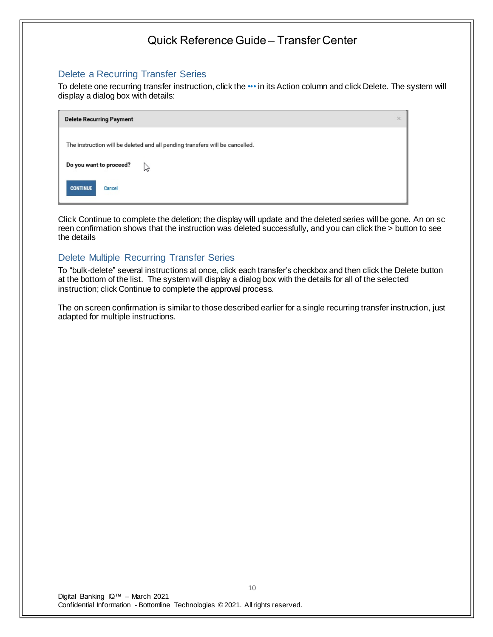### Delete a Recurring Transfer Series

To delete one recurring transfer instruction, click the ••• in its Action column and click Delete. The system will display a dialog box with details:

| <b>Delete Recurring Payment</b>                                              | $\times$ |
|------------------------------------------------------------------------------|----------|
| The instruction will be deleted and all pending transfers will be cancelled. |          |
| Do you want to proceed?<br>ピ                                                 |          |
| <b>CONTINUE</b><br>Cancel                                                    |          |

Click Continue to complete the deletion; the display will update and the deleted series will be gone. An on sc reen confirmation shows that the instruction was deleted successfully, and you can click the > button to see the details

### Delete Multiple Recurring Transfer Series

To "bulk-delete" several instructions at once, click each transfer's checkbox and then click the Delete button at the bottom of the list. The system will display a dialog box with the details for all of the selected instruction; click Continue to complete the approval process.

The on screen confirmation is similar to those described earlier for a single recurring transfer instruction, just adapted for multiple instructions.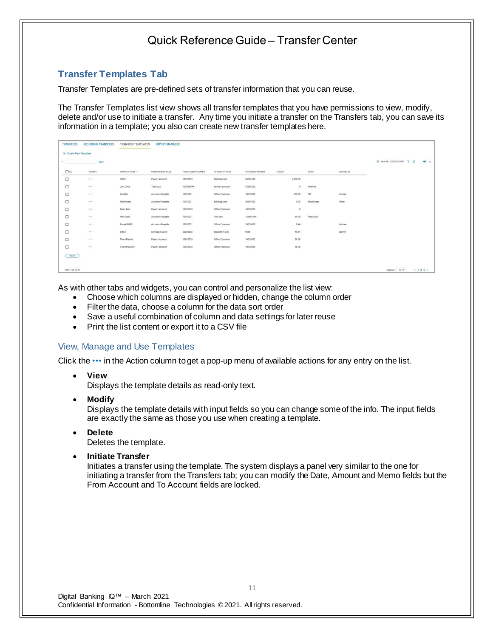### **Transfer Templates Tab**

Transfer Templates are pre-defined sets of transfer information that you can reuse.

The Transfer Templates list view shows all transfer templates that you have permissions to view, modify, delete and/or use to initiate a transfer. Any time you initiate a transfer on the Transfers tab, you can save its information in a template; you also can create new transfer templates here.

| <b>TRANSFERS</b>    | <b>RECURRING TRANSFERS</b> | TRANSFER TEMPLATES | <b>IMPORT MANAGER</b> |                     |                 |                   |        |          |             |            |                                   |         |
|---------------------|----------------------------|--------------------|-----------------------|---------------------|-----------------|-------------------|--------|----------|-------------|------------|-----------------------------------|---------|
| Create New Template |                            |                    |                       |                     |                 |                   |        |          |             |            |                                   |         |
| $\bullet$           | Save                       |                    |                       |                     |                 |                   |        |          |             |            | O As of 08/11/2020 05:20 PM Y III | $A + B$ |
| $\Box$ ALL          | ACTIONS                    | TEMPLATE NAME +    | FROM ACCOUNT NAME     | FROM ACCOUNT NUMBER | TO ACCOUNT NAME | TO ACCOUNT NUMBER | AMOUNT |          | NEMO        | CREATED BY |                                   |         |
| $\Box$              | $\pm$ 6 $\pm$              | Hellof             | Payroll Account       | 10010003            | Building Loan   | 36254512          |        | 2,500.00 |             |            |                                   |         |
| $\Box$              | 288.2                      | Just Once          | Test Acct             | 123456789           | savings account | 23235252          |        |          | Anytime     |            |                                   |         |
| $\Box$              |                            | <b>Iksqifiks</b>   | Accounts Payable      | 10010001            | Office Expenses | 10010002          |        | 250.00   | ffff        | Andrea     |                                   |         |
| $\Box$              | 0.04                       | Mobile test        | Accounts Payable      | 10010001            | Building Loan   | 36254512          |        | 5.00     | Mobile test | Miller     |                                   |         |
| $\Box$              | 114.4                      | Peter Test         | Payroll Account       | 10010003            | Office Expenses | 10010002          |        | $\alpha$ |             |            |                                   |         |
| $\Box$              | 7.6.6                      | Press Suit         | Accounts Payable      | 10010001            | Test Acct       | 123456789         |        | 89.00    | Press Suit  |            |                                   |         |
| □                   | 1000                       | Purple99999        | Accounts Payable      | 10010001            | Office Expenses | 10010002          |        | 0.44     |             | Andrea     |                                   |         |
| $\Box$              | (0.001)                    | sdfsd              | savings account       | 23235252            | Equipment LOC   | 6666              |        | 45.34    |             | jaymie     |                                   |         |
| $\Box$              |                            | Team Payroll       | Payroll Account       | 10010003            | Office Expenses | 10010002          |        | 58.00    |             |            |                                   |         |
| $\Box$              | $\alpha = \alpha$ )        | Team Payroll 2     | Payroll Account       | 10010003            | Office Expenses | 10010002          |        | 58.00    |             |            |                                   |         |
| DELETE              |                            |                    |                       |                     |                 |                   |        |          |             |            |                                   |         |
|                     |                            |                    |                       |                     |                 |                   |        |          |             |            |                                   |         |
| VIEW 11-20 OF 28    |                            |                    |                       |                     |                 |                   |        |          |             |            | DISPLAY 10 V                      | (123)   |

As with other tabs and widgets, you can control and personalize the list view:

- Choose which columns are displayed or hidden, change the column order
- Filter the data, choose a column for the data sort order
- Save a useful combination of column and data settings for later reuse
- Print the list content or export it to a CSV file

#### View, Manage and Use Templates

Click the ••• in the Action column to get a pop-up menu of available actions for any entry on the list.

• **View**

Displays the template details as read-only text.

• **Modify**

Displays the template details with input fields so you can change some of the info. The input fields are exactly the same as those you use when creating a template.

• **Delete**

Deletes the template.

• **Initiate Transfer**

Initiates a transfer using the template. The system displays a panel very similar to the one for initiating a transfer from the Transfers tab; you can modify the Date, Amount and Memo fields but the From Account and To Account fields are locked.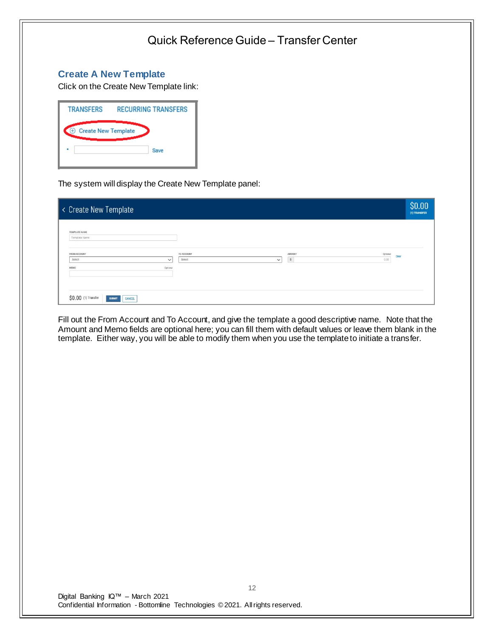### **Create A New Template**

Click on the Create New Template link:

| <b>TRANSFERS</b>                       | <b>RECURRING TRANSFERS</b> |
|----------------------------------------|----------------------------|
| <b>Create New Template</b><br>$^{(+)}$ |                            |
|                                        | Save                       |
|                                        |                            |

The system will display the Create New Template panel:

| < Create New Template                          |                                      |                                            | \$0.00<br>(1) TRANSFER |
|------------------------------------------------|--------------------------------------|--------------------------------------------|------------------------|
| TEMPLATE NAME<br>Template Name                 |                                      |                                            |                        |
| FROM ACCOUNT<br>Select<br>$\checkmark$         | TO ACCOUNT<br>Select<br>$\checkmark$ | AMOUNT<br>Optional<br>0.00<br>$\mathbb{S}$ | Clear                  |
| Optional<br>MEMO                               |                                      |                                            |                        |
|                                                |                                      |                                            |                        |
| \$0.00 (1) Transfer<br><b>SUBMIT</b><br>CANCEL |                                      |                                            |                        |

Fill out the From Account and To Account, and give the template a good descriptive name. Note that the Amount and Memo fields are optional here; you can fill them with default values or leave them blank in the template. Either way, you will be able to modify them when you use the template to initiate a transfer.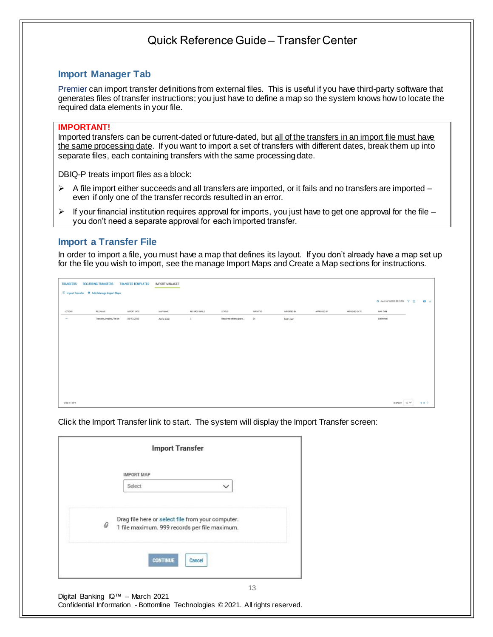### **Import Manager Tab**

Premier can import transfer definitions from external files. This is useful if you have third-party software that generates files of transfer instructions; you just have to define a map so the system knows how to locate the required data elements in your file.

#### **IMPORTANT!**

Imported transfers can be current-dated or future-dated, but all of the transfers in an import file must have the same processing date. If you want to import a set of transfers with different dates, break them up into separate files, each containing transfers with the same processing date.

DBIQ-P treats import files as a block:

- $\triangleright$  A file import either succeeds and all transfers are imported, or it fails and no transfers are imported even if only one of the transfer records resulted in an error.
- $\triangleright$  If your financial institution requires approval for imports, you just have to get one approval for the file you don't need a separate approval for each imported transfer.

### **Import a Transfer File**

In order to import a file, you must have a map that defines its layout. If you don't already have a map set up for the file you wish to import, see the manage Import Maps and Create a Map sections for instructions.

| <b>TRANSFERS</b> | <b>RECURRING TRANSFERS</b><br><b>E</b> Import Transfer <b>K</b> Add/Manage Import Maps | <b>TRANSFER TEMPLATES</b> | <b>IMPORT MANAGER</b> |                           |                       |                  |                  |             |               |                                                                       |            |
|------------------|----------------------------------------------------------------------------------------|---------------------------|-----------------------|---------------------------|-----------------------|------------------|------------------|-------------|---------------|-----------------------------------------------------------------------|------------|
|                  |                                                                                        |                           |                       |                           |                       |                  |                  |             |               | O As of 08/18/2020 01:29 PM $\qquad \qquad \nabla \quad \blacksquare$ | $\theta$ * |
| <b>ACTIONS</b>   | FILE NAME                                                                              | IMPORT DATE               | MAP NAME              | RECORDS IN FILE           | <b>STATUS</b>         | <b>IMPORT ID</b> | IMPORTED BY      | APPROVED BY | APPROVED DATE | MAP TYPE                                                              |            |
| 1.11             | Transfer_Import_File.txt                                                               | 08/17/2020                | Acme Gold             | $\ensuremath{\mathsf{3}}$ | Requires others appro | 24               | <b>Test User</b> |             |               | Delimited                                                             |            |
|                  |                                                                                        |                           |                       |                           |                       |                  |                  |             |               |                                                                       |            |
|                  |                                                                                        |                           |                       |                           |                       |                  |                  |             |               |                                                                       |            |
|                  |                                                                                        |                           |                       |                           |                       |                  |                  |             |               |                                                                       |            |
|                  |                                                                                        |                           |                       |                           |                       |                  |                  |             |               |                                                                       |            |
|                  |                                                                                        |                           |                       |                           |                       |                  |                  |             |               |                                                                       |            |
|                  |                                                                                        |                           |                       |                           |                       |                  |                  |             |               |                                                                       |            |
|                  |                                                                                        |                           |                       |                           |                       |                  |                  |             |               |                                                                       |            |
|                  |                                                                                        |                           |                       |                           |                       |                  |                  |             |               |                                                                       |            |
|                  |                                                                                        |                           |                       |                           |                       |                  |                  |             |               |                                                                       |            |
| VIEW 1-1 OF 1    |                                                                                        |                           |                       |                           |                       |                  |                  |             |               | DISPLAY $10 \vee$                                                     | 12         |

Click the Import Transfer link to start. The system will display the Import Transfer screen:

|   | <b>Import Transfer</b>                                                                             |
|---|----------------------------------------------------------------------------------------------------|
|   | <b>IMPORT MAP</b>                                                                                  |
|   | Select<br>$\check{ }$                                                                              |
| 0 | Drag file here or select file from your computer.<br>1 file maximum. 999 records per file maximum. |
|   | <b>CONTINUE</b><br>Cancel                                                                          |
|   | 13                                                                                                 |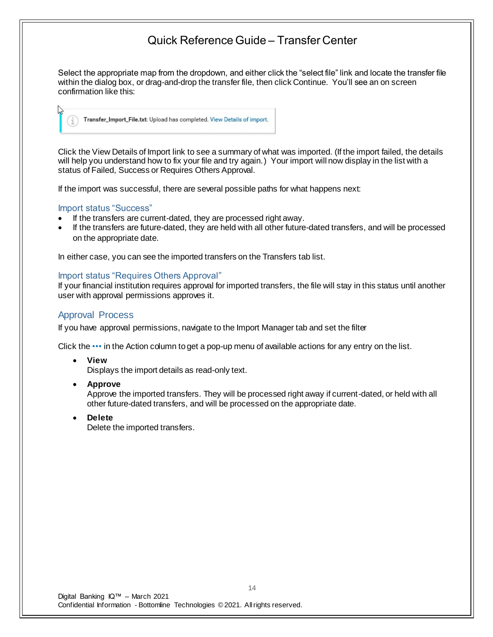Select the appropriate map from the dropdown, and either click the "select file" link and locate the transfer file within the dialog box, or drag-and-drop the transfer file, then click Continue. You'll see an on screen confirmation like this:



Click the View Details of Import link to see a summary of what was imported. (If the import failed, the details will help you understand how to fix your file and try again.) Your import will now display in the list with a status of Failed, Success or Requires Others Approval.

If the import was successful, there are several possible paths for what happens next:

#### Import status "Success"

- If the transfers are current-dated, they are processed right away.
- If the transfers are future-dated, they are held with all other future-dated transfers, and will be processed on the appropriate date.

In either case, you can see the imported transfers on the Transfers tab list.

#### Import status "Requires Others Approval"

If your financial institution requires approval for imported transfers, the file will stay in this status until another user with approval permissions approves it.

### Approval Process

If you have approval permissions, navigate to the Import Manager tab and set the filter

Click the ••• in the Action column to get a pop-up menu of available actions for any entry on the list.

• **View**

Displays the import details as read-only text.

• **Approve**

Approve the imported transfers. They will be processed right away if current-dated, or held with all other future-dated transfers, and will be processed on the appropriate date.

• **Delete**

Delete the imported transfers.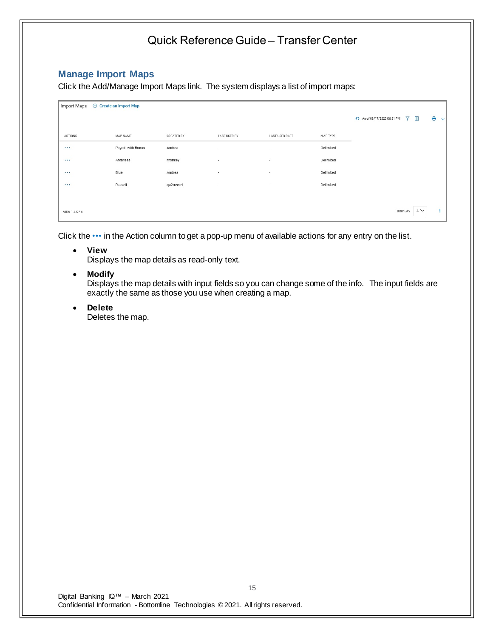### **Manage Import Maps**

Click the Add/Manage Import Maps link. The system displays a list of import maps:

| Import Maps   | <b>E</b> Create an Import Map |            |                          |                |           |                                  |              |    |   |
|---------------|-------------------------------|------------|--------------------------|----------------|-----------|----------------------------------|--------------|----|---|
|               |                               |            |                          |                |           | + As of 08/17/2020 06:31 PM<br>7 | $\mathbb{I}$ | e  | V |
| ACTIONS       | MAP NAME                      | CREATED BY | LAST USED BY             | LAST USED DATE | MAP TYPE  |                                  |              |    |   |
| 1.11          | Payroll with Bonus            | Andrea     | $\overline{\phantom{a}}$ | $\sim$         | Delimited |                                  |              |    |   |
|               | Arkansas                      | monkey     | $\overline{\phantom{a}}$ | $\sim$         | Delimited |                                  |              |    |   |
| $\cdots$      | Blue                          | Andrea     | $\overline{\phantom{a}}$ | $\sim$         | Delimited |                                  |              |    |   |
| 1.11          | Russell                       | qa2russell | $\overline{\phantom{a}}$ | $\sim$         | Delimited |                                  |              |    |   |
|               |                               |            |                          |                |           |                                  |              |    |   |
| VIEW 1-4 OF 4 |                               |            |                          |                |           | <b>DISPLAY</b>                   | $4 \vee$     | и. |   |

Click the ••• in the Action column to get a pop-up menu of available actions for any entry on the list.

• **View**

Displays the map details as read-only text.

• **Modify**

Displays the map details with input fields so you can change some of the info. The input fields are exactly the same as those you use when creating a map.

• **Delete**

Deletes the map.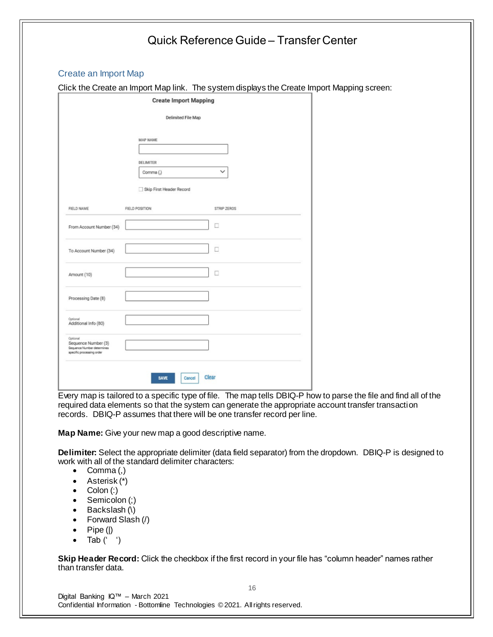# Quick Reference Guide – Transfer Center Create an Import Map Click the Create an Import Map link. The system displays the Create Import Mapping screen: **Create Import Mapping Delimited File Map MAP NAME DELIMITER** Comma ()  $\checkmark$ Skip First Header Record FIELD NAME FIELD POSITION STRIP ZEROS  $\Box$ From Account Number (34)  $\Box$ To Account Number (34)  $\Box$ Amount (10) Processing Date (8) Additional Info (80) Sequence Number (3) rquence Number detern<br>recific processing order Clear SAVE Cancel

Every map is tailored to a specific type of file. The map tells DBIQ-P how to parse the file and find all of the required data elements so that the system can generate the appropriate account transfer transaction records. DBIQ-P assumes that there will be one transfer record per line.

**Map Name:** Give your new map a good descriptive name.

**Delimiter:** Select the appropriate delimiter (data field separator) from the dropdown. DBIQ-P is designed to work with all of the standard delimiter characters:

- Comma $(,)$
- Asterisk (\*)
- Colon (:)
- Semicolon (;)
- Backslash (\)
- Forward Slash (/)
- Pipe (|)
- Tab  $('')$

**Skip Header Record:** Click the checkbox if the first record in your file has "column header" names rather than transfer data.

Digital Banking IQ™ – March 2021 Confidential Information - Bottomline Technologies © 2021. Allrights reserved.

16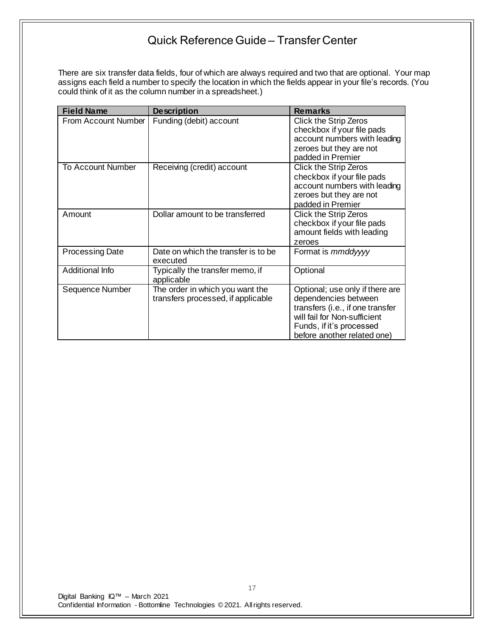There are six transfer data fields, four of which are always required and two that are optional. Your map assigns each field a number to specify the location in which the fields appear in your file's records. (You could think of it as the column number in a spreadsheet.)

| <b>Field Name</b>      | <b>Description</b>                                                    | <b>Remarks</b>                                                                                                                                                                         |
|------------------------|-----------------------------------------------------------------------|----------------------------------------------------------------------------------------------------------------------------------------------------------------------------------------|
| From Account Number    | Funding (debit) account                                               | <b>Click the Strip Zeros</b><br>checkbox if your file pads<br>account numbers with leading<br>zeroes but they are not<br>padded in Premier                                             |
| To Account Number      | Receiving (credit) account                                            | <b>Click the Strip Zeros</b><br>checkbox if your file pads<br>account numbers with leading<br>zeroes but they are not<br>padded in Premier                                             |
| Amount                 | Dollar amount to be transferred                                       | <b>Click the Strip Zeros</b><br>checkbox if your file pads<br>amount fields with leading<br>zeroes                                                                                     |
| <b>Processing Date</b> | Date on which the transfer is to be<br>executed                       | Format is mmddyyyy                                                                                                                                                                     |
| Additional Info        | Typically the transfer memo, if<br>applicable                         | Optional                                                                                                                                                                               |
| Sequence Number        | The order in which you want the<br>transfers processed, if applicable | Optional; use only if there are<br>dependencies between<br>transfers (i.e., if one transfer<br>will fail for Non-sufficient<br>Funds, if it's processed<br>before another related one) |